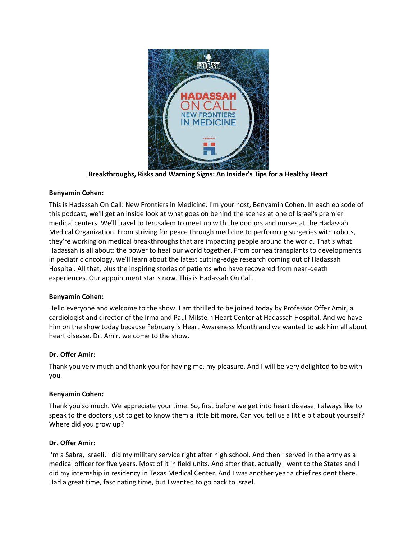

**Breakthroughs, Risks and Warning Signs: An Insider's Tips for a Healthy Heart**

This is Hadassah On Call: New Frontiers in Medicine. I'm your host, Benyamin Cohen. In each episode of this podcast, we'll get an inside look at what goes on behind the scenes at one of Israel's premier medical centers. We'll travel to Jerusalem to meet up with the doctors and nurses at the Hadassah Medical Organization. From striving for peace through medicine to performing surgeries with robots, they're working on medical breakthroughs that are impacting people around the world. That's what Hadassah is all about: the power to heal our world together. From cornea transplants to developments in pediatric oncology, we'll learn about the latest cutting-edge research coming out of Hadassah Hospital. All that, plus the inspiring stories of patients who have recovered from near-death experiences. Our appointment starts now. This is Hadassah On Call.

# **Benyamin Cohen:**

Hello everyone and welcome to the show. I am thrilled to be joined today by Professor Offer Amir, a cardiologist and director of the Irma and Paul Milstein Heart Center at Hadassah Hospital. And we have him on the show today because February is Heart Awareness Month and we wanted to ask him all about heart disease. Dr. Amir, welcome to the show.

### **Dr. Offer Amir:**

Thank you very much and thank you for having me, my pleasure. And I will be very delighted to be with you.

### **Benyamin Cohen:**

Thank you so much. We appreciate your time. So, first before we get into heart disease, I always like to speak to the doctors just to get to know them a little bit more. Can you tell us a little bit about yourself? Where did you grow up?

### **Dr. Offer Amir:**

I'm a Sabra, Israeli. I did my military service right after high school. And then I served in the army as a medical officer for five years. Most of it in field units. And after that, actually I went to the States and I did my internship in residency in Texas Medical Center. And I was another year a chief resident there. Had a great time, fascinating time, but I wanted to go back to Israel.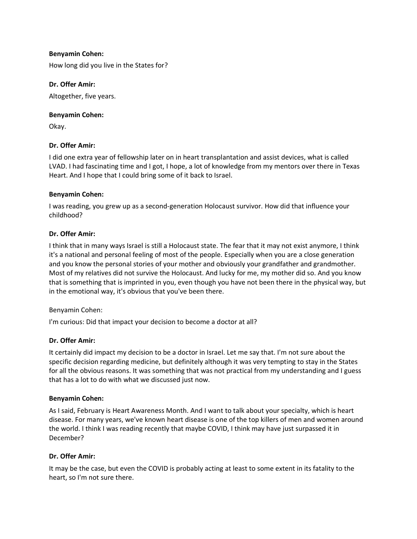How long did you live in the States for?

## **Dr. Offer Amir:**

Altogether, five years.

### **Benyamin Cohen:**

Okay.

# **Dr. Offer Amir:**

I did one extra year of fellowship later on in heart transplantation and assist devices, what is called LVAD. I had fascinating time and I got, I hope, a lot of knowledge from my mentors over there in Texas Heart. And I hope that I could bring some of it back to Israel.

# **Benyamin Cohen:**

I was reading, you grew up as a second-generation Holocaust survivor. How did that influence your childhood?

# **Dr. Offer Amir:**

I think that in many ways Israel is still a Holocaust state. The fear that it may not exist anymore, I think it's a national and personal feeling of most of the people. Especially when you are a close generation and you know the personal stories of your mother and obviously your grandfather and grandmother. Most of my relatives did not survive the Holocaust. And lucky for me, my mother did so. And you know that is something that is imprinted in you, even though you have not been there in the physical way, but in the emotional way, it's obvious that you've been there.

### Benyamin Cohen:

I'm curious: Did that impact your decision to become a doctor at all?

# **Dr. Offer Amir:**

It certainly did impact my decision to be a doctor in Israel. Let me say that. I'm not sure about the specific decision regarding medicine, but definitely although it was very tempting to stay in the States for all the obvious reasons. It was something that was not practical from my understanding and I guess that has a lot to do with what we discussed just now.

### **Benyamin Cohen:**

As I said, February is Heart Awareness Month. And I want to talk about your specialty, which is heart disease. For many years, we've known heart disease is one of the top killers of men and women around the world. I think I was reading recently that maybe COVID, I think may have just surpassed it in December?

# **Dr. Offer Amir:**

It may be the case, but even the COVID is probably acting at least to some extent in its fatality to the heart, so I'm not sure there.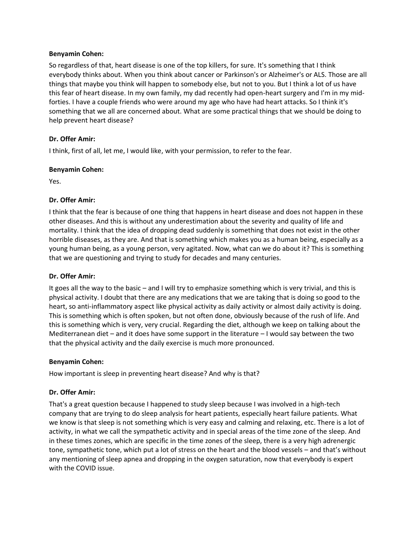So regardless of that, heart disease is one of the top killers, for sure. It's something that I think everybody thinks about. When you think about cancer or Parkinson's or Alzheimer's or ALS. Those are all things that maybe you think will happen to somebody else, but not to you. But I think a lot of us have this fear of heart disease. In my own family, my dad recently had open-heart surgery and I'm in my midforties. I have a couple friends who were around my age who have had heart attacks. So I think it's something that we all are concerned about. What are some practical things that we should be doing to help prevent heart disease?

# **Dr. Offer Amir:**

I think, first of all, let me, I would like, with your permission, to refer to the fear.

### **Benyamin Cohen:**

Yes.

# **Dr. Offer Amir:**

I think that the fear is because of one thing that happens in heart disease and does not happen in these other diseases. And this is without any underestimation about the severity and quality of life and mortality. I think that the idea of dropping dead suddenly is something that does not exist in the other horrible diseases, as they are. And that is something which makes you as a human being, especially as a young human being, as a young person, very agitated. Now, what can we do about it? This is something that we are questioning and trying to study for decades and many centuries.

### **Dr. Offer Amir:**

It goes all the way to the basic – and I will try to emphasize something which is very trivial, and this is physical activity. I doubt that there are any medications that we are taking that is doing so good to the heart, so anti-inflammatory aspect like physical activity as daily activity or almost daily activity is doing. This is something which is often spoken, but not often done, obviously because of the rush of life. And this is something which is very, very crucial. Regarding the diet, although we keep on talking about the Mediterranean diet – and it does have some support in the literature  $-1$  would say between the two that the physical activity and the daily exercise is much more pronounced.

### **Benyamin Cohen:**

How important is sleep in preventing heart disease? And why is that?

### **Dr. Offer Amir:**

That's a great question because I happened to study sleep because I was involved in a high-tech company that are trying to do sleep analysis for heart patients, especially heart failure patients. What we know is that sleep is not something which is very easy and calming and relaxing, etc. There is a lot of activity, in what we call the sympathetic activity and in special areas of the time zone of the sleep. And in these times zones, which are specific in the time zones of the sleep, there is a very high adrenergic tone, sympathetic tone, which put a lot of stress on the heart and the blood vessels – and that's without any mentioning of sleep apnea and dropping in the oxygen saturation, now that everybody is expert with the COVID issue.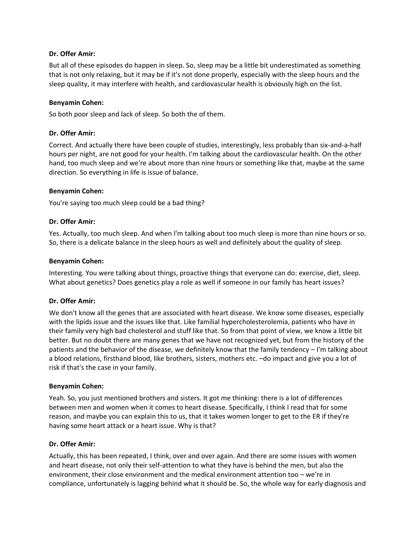### **Dr. Offer Amir:**

But all of these episodes do happen in sleep. So, sleep may be a little bit underestimated as something that is not only relaxing, but it may be if it's not done properly, especially with the sleep hours and the sleep quality, it may interfere with health, and cardiovascular health is obviously high on the list.

### **Benyamin Cohen:**

So both poor sleep and lack of sleep. So both the of them.

### **Dr. Offer Amir:**

Correct. And actually there have been couple of studies, interestingly, less probably than six-and-a-half hours per night, are not good for your health. I'm talking about the cardiovascular health. On the other hand, too much sleep and we're about more than nine hours or something like that, maybe at the same direction. So everything in life is issue of balance.

### **Benyamin Cohen:**

You're saying too much sleep could be a bad thing?

### **Dr. Offer Amir:**

Yes. Actually, too much sleep. And when I'm talking about too much sleep is more than nine hours or so. So, there is a delicate balance in the sleep hours as well and definitely about the quality of sleep.

#### **Benyamin Cohen:**

Interesting. You were talking about things, proactive things that everyone can do: exercise, diet, sleep. What about genetics? Does genetics play a role as well if someone in our family has heart issues?

#### **Dr. Offer Amir:**

We don't know all the genes that are associated with heart disease. We know some diseases, especially with the lipids issue and the issues like that. Like familial hypercholesterolemia, patients who have in their family very high bad cholesterol and stuff like that. So from that point of view, we know a little bit better. But no doubt there are many genes that we have not recognized yet, but from the history of the patients and the behavior of the disease, we definitely know that the family tendency – I'm talking about a blood relations, firsthand blood, like brothers, sisters, mothers etc. –do impact and give you a lot of risk if that's the case in your family.

#### **Benyamin Cohen:**

Yeah. So, you just mentioned brothers and sisters. It got me thinking: there is a lot of differences between men and women when it comes to heart disease. Specifically, I think I read that for some reason, and maybe you can explain this to us, that it takes women longer to get to the ER if they're having some heart attack or a heart issue. Why is that?

#### **Dr. Offer Amir:**

Actually, this has been repeated, I think, over and over again. And there are some issues with women and heart disease, not only their self-attention to what they have is behind the men, but also the environment, their close environment and the medical environment attention too – we're in compliance, unfortunately is lagging behind what it should be. So, the whole way for early diagnosis and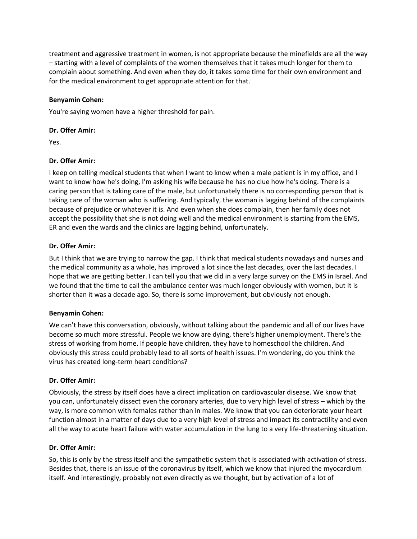treatment and aggressive treatment in women, is not appropriate because the minefields are all the way – starting with a level of complaints of the women themselves that it takes much longer for them to complain about something. And even when they do, it takes some time for their own environment and for the medical environment to get appropriate attention for that.

# **Benyamin Cohen:**

You're saying women have a higher threshold for pain.

## **Dr. Offer Amir:**

Yes.

# **Dr. Offer Amir:**

I keep on telling medical students that when I want to know when a male patient is in my office, and I want to know how he's doing, I'm asking his wife because he has no clue how he's doing. There is a caring person that is taking care of the male, but unfortunately there is no corresponding person that is taking care of the woman who is suffering. And typically, the woman is lagging behind of the complaints because of prejudice or whatever it is. And even when she does complain, then her family does not accept the possibility that she is not doing well and the medical environment is starting from the EMS, ER and even the wards and the clinics are lagging behind, unfortunately.

# **Dr. Offer Amir:**

But I think that we are trying to narrow the gap. I think that medical students nowadays and nurses and the medical community as a whole, has improved a lot since the last decades, over the last decades. I hope that we are getting better. I can tell you that we did in a very large survey on the EMS in Israel. And we found that the time to call the ambulance center was much longer obviously with women, but it is shorter than it was a decade ago. So, there is some improvement, but obviously not enough.

### **Benyamin Cohen:**

We can't have this conversation, obviously, without talking about the pandemic and all of our lives have become so much more stressful. People we know are dying, there's higher unemployment. There's the stress of working from home. If people have children, they have to homeschool the children. And obviously this stress could probably lead to all sorts of health issues. I'm wondering, do you think the virus has created long-term heart conditions?

### **Dr. Offer Amir:**

Obviously, the stress by itself does have a direct implication on cardiovascular disease. We know that you can, unfortunately dissect even the coronary arteries, due to very high level of stress – which by the way, is more common with females rather than in males. We know that you can deteriorate your heart function almost in a matter of days due to a very high level of stress and impact its contractility and even all the way to acute heart failure with water accumulation in the lung to a very life-threatening situation.

### **Dr. Offer Amir:**

So, this is only by the stress itself and the sympathetic system that is associated with activation of stress. Besides that, there is an issue of the coronavirus by itself, which we know that injured the myocardium itself. And interestingly, probably not even directly as we thought, but by activation of a lot of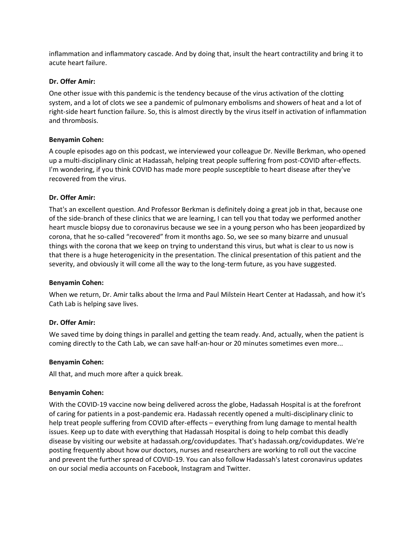inflammation and inflammatory cascade. And by doing that, insult the heart contractility and bring it to acute heart failure.

### **Dr. Offer Amir:**

One other issue with this pandemic is the tendency because of the virus activation of the clotting system, and a lot of clots we see a pandemic of pulmonary embolisms and showers of heat and a lot of right-side heart function failure. So, this is almost directly by the virus itself in activation of inflammation and thrombosis.

### **Benyamin Cohen:**

A couple episodes ago on this podcast, we interviewed your colleague Dr. Neville Berkman, who opened up a multi-disciplinary clinic at Hadassah, helping treat people suffering from post-COVID after-effects. I'm wondering, if you think COVID has made more people susceptible to heart disease after they've recovered from the virus.

### **Dr. Offer Amir:**

That's an excellent question. And Professor Berkman is definitely doing a great job in that, because one of the side-branch of these clinics that we are learning, I can tell you that today we performed another heart muscle biopsy due to coronavirus because we see in a young person who has been jeopardized by corona, that he so-called "recovered" from it months ago. So, we see so many bizarre and unusual things with the corona that we keep on trying to understand this virus, but what is clear to us now is that there is a huge heterogenicity in the presentation. The clinical presentation of this patient and the severity, and obviously it will come all the way to the long-term future, as you have suggested.

#### **Benyamin Cohen:**

When we return, Dr. Amir talks about the Irma and Paul Milstein Heart Center at Hadassah, and how it's Cath Lab is helping save lives.

### **Dr. Offer Amir:**

We saved time by doing things in parallel and getting the team ready. And, actually, when the patient is coming directly to the Cath Lab, we can save half-an-hour or 20 minutes sometimes even more...

#### **Benyamin Cohen:**

All that, and much more after a quick break.

### **Benyamin Cohen:**

With the COVID-19 vaccine now being delivered across the globe, Hadassah Hospital is at the forefront of caring for patients in a post-pandemic era. Hadassah recently opened a multi-disciplinary clinic to help treat people suffering from COVID after-effects – everything from lung damage to mental health issues. Keep up to date with everything that Hadassah Hospital is doing to help combat this deadly disease by visiting our website at hadassah.org/covidupdates. That's hadassah.org/covidupdates. We're posting frequently about how our doctors, nurses and researchers are working to roll out the vaccine and prevent the further spread of COVID-19. You can also follow Hadassah's latest coronavirus updates on our social media accounts on Facebook, Instagram and Twitter.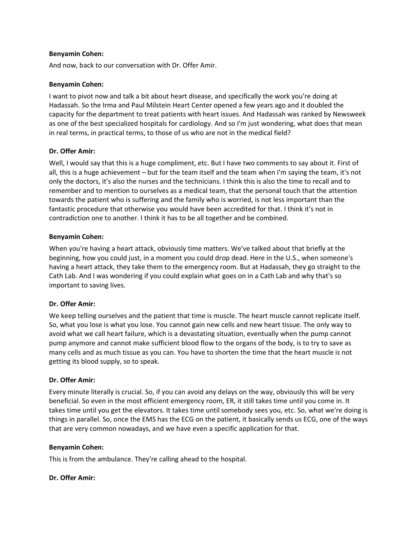And now, back to our conversation with Dr. Offer Amir.

### **Benyamin Cohen:**

I want to pivot now and talk a bit about heart disease, and specifically the work you're doing at Hadassah. So the Irma and Paul Milstein Heart Center opened a few years ago and it doubled the capacity for the department to treat patients with heart issues. And Hadassah was ranked by Newsweek as one of the best specialized hospitals for cardiology. And so I'm just wondering, what does that mean in real terms, in practical terms, to those of us who are not in the medical field?

### **Dr. Offer Amir:**

Well, I would say that this is a huge compliment, etc. But I have two comments to say about it. First of all, this is a huge achievement – but for the team itself and the team when I'm saying the team, it's not only the doctors, it's also the nurses and the technicians. I think this is also the time to recall and to remember and to mention to ourselves as a medical team, that the personal touch that the attention towards the patient who is suffering and the family who is worried, is not less important than the fantastic procedure that otherwise you would have been accredited for that. I think it's not in contradiction one to another. I think it has to be all together and be combined.

### **Benyamin Cohen:**

When you're having a heart attack, obviously time matters. We've talked about that briefly at the beginning, how you could just, in a moment you could drop dead. Here in the U.S., when someone's having a heart attack, they take them to the emergency room. But at Hadassah, they go straight to the Cath Lab. And I was wondering if you could explain what goes on in a Cath Lab and why that's so important to saving lives.

#### **Dr. Offer Amir:**

We keep telling ourselves and the patient that time is muscle. The heart muscle cannot replicate itself. So, what you lose is what you lose. You cannot gain new cells and new heart tissue. The only way to avoid what we call heart failure, which is a devastating situation, eventually when the pump cannot pump anymore and cannot make sufficient blood flow to the organs of the body, is to try to save as many cells and as much tissue as you can. You have to shorten the time that the heart muscle is not getting its blood supply, so to speak.

#### **Dr. Offer Amir:**

Every minute literally is crucial. So, if you can avoid any delays on the way, obviously this will be very beneficial. So even in the most efficient emergency room, ER, it still takes time until you come in. It takes time until you get the elevators. It takes time until somebody sees you, etc. So, what we're doing is things in parallel. So, once the EMS has the ECG on the patient, it basically sends us ECG, one of the ways that are very common nowadays, and we have even a specific application for that.

#### **Benyamin Cohen:**

This is from the ambulance. They're calling ahead to the hospital.

#### **Dr. Offer Amir:**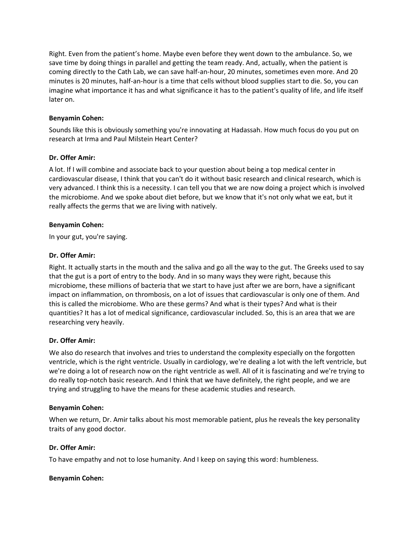Right. Even from the patient's home. Maybe even before they went down to the ambulance. So, we save time by doing things in parallel and getting the team ready. And, actually, when the patient is coming directly to the Cath Lab, we can save half-an-hour, 20 minutes, sometimes even more. And 20 minutes is 20 minutes, half-an-hour is a time that cells without blood supplies start to die. So, you can imagine what importance it has and what significance it has to the patient's quality of life, and life itself later on.

# **Benyamin Cohen:**

Sounds like this is obviously something you're innovating at Hadassah. How much focus do you put on research at Irma and Paul Milstein Heart Center?

### **Dr. Offer Amir:**

A lot. If I will combine and associate back to your question about being a top medical center in cardiovascular disease, I think that you can't do it without basic research and clinical research, which is very advanced. I think this is a necessity. I can tell you that we are now doing a project which is involved the microbiome. And we spoke about diet before, but we know that it's not only what we eat, but it really affects the germs that we are living with natively.

### **Benyamin Cohen:**

In your gut, you're saying.

# **Dr. Offer Amir:**

Right. It actually starts in the mouth and the saliva and go all the way to the gut. The Greeks used to say that the gut is a port of entry to the body. And in so many ways they were right, because this microbiome, these millions of bacteria that we start to have just after we are born, have a significant impact on inflammation, on thrombosis, on a lot of issues that cardiovascular is only one of them. And this is called the microbiome. Who are these germs? And what is their types? And what is their quantities? It has a lot of medical significance, cardiovascular included. So, this is an area that we are researching very heavily.

# **Dr. Offer Amir:**

We also do research that involves and tries to understand the complexity especially on the forgotten ventricle, which is the right ventricle. Usually in cardiology, we're dealing a lot with the left ventricle, but we're doing a lot of research now on the right ventricle as well. All of it is fascinating and we're trying to do really top-notch basic research. And I think that we have definitely, the right people, and we are trying and struggling to have the means for these academic studies and research.

### **Benyamin Cohen:**

When we return, Dr. Amir talks about his most memorable patient, plus he reveals the key personality traits of any good doctor.

# **Dr. Offer Amir:**

To have empathy and not to lose humanity. And I keep on saying this word: humbleness.

### **Benyamin Cohen:**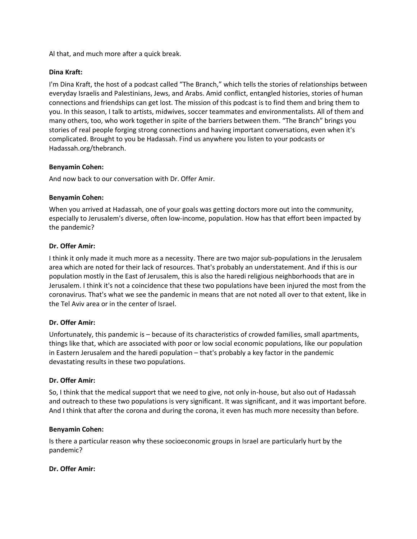Al that, and much more after a quick break.

### **Dina Kraft:**

I'm Dina Kraft, the host of a podcast called "The Branch," which tells the stories of relationships between everyday Israelis and Palestinians, Jews, and Arabs. Amid conflict, entangled histories, stories of human connections and friendships can get lost. The mission of this podcast is to find them and bring them to you. In this season, I talk to artists, midwives, soccer teammates and environmentalists. All of them and many others, too, who work together in spite of the barriers between them. "The Branch" brings you stories of real people forging strong connections and having important conversations, even when it's complicated. Brought to you be Hadassah. Find us anywhere you listen to your podcasts or Hadassah.org/thebranch.

### **Benyamin Cohen:**

And now back to our conversation with Dr. Offer Amir.

### **Benyamin Cohen:**

When you arrived at Hadassah, one of your goals was getting doctors more out into the community, especially to Jerusalem's diverse, often low-income, population. How has that effort been impacted by the pandemic?

### **Dr. Offer Amir:**

I think it only made it much more as a necessity. There are two major sub-populations in the Jerusalem area which are noted for their lack of resources. That's probably an understatement. And if this is our population mostly in the East of Jerusalem, this is also the haredi religious neighborhoods that are in Jerusalem. I think it's not a coincidence that these two populations have been injured the most from the coronavirus. That's what we see the pandemic in means that are not noted all over to that extent, like in the Tel Aviv area or in the center of Israel.

#### **Dr. Offer Amir:**

Unfortunately, this pandemic is – because of its characteristics of crowded families, small apartments, things like that, which are associated with poor or low social economic populations, like our population in Eastern Jerusalem and the haredi population – that's probably a key factor in the pandemic devastating results in these two populations.

#### **Dr. Offer Amir:**

So, I think that the medical support that we need to give, not only in-house, but also out of Hadassah and outreach to these two populations is very significant. It was significant, and it was important before. And I think that after the corona and during the corona, it even has much more necessity than before.

#### **Benyamin Cohen:**

Is there a particular reason why these socioeconomic groups in Israel are particularly hurt by the pandemic?

#### **Dr. Offer Amir:**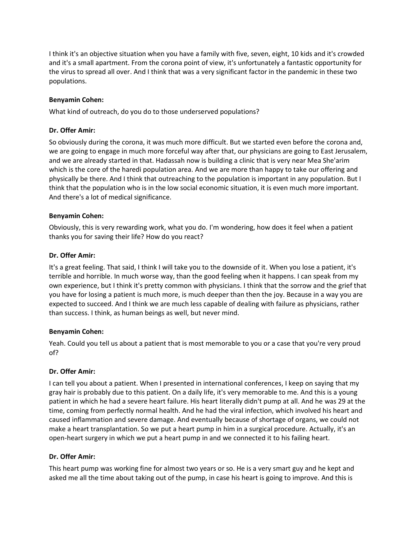I think it's an objective situation when you have a family with five, seven, eight, 10 kids and it's crowded and it's a small apartment. From the corona point of view, it's unfortunately a fantastic opportunity for the virus to spread all over. And I think that was a very significant factor in the pandemic in these two populations.

## **Benyamin Cohen:**

What kind of outreach, do you do to those underserved populations?

## **Dr. Offer Amir:**

So obviously during the corona, it was much more difficult. But we started even before the corona and, we are going to engage in much more forceful way after that, our physicians are going to East Jerusalem, and we are already started in that. Hadassah now is building a clinic that is very near Mea She'arim which is the core of the haredi population area. And we are more than happy to take our offering and physically be there. And I think that outreaching to the population is important in any population. But I think that the population who is in the low social economic situation, it is even much more important. And there's a lot of medical significance.

# **Benyamin Cohen:**

Obviously, this is very rewarding work, what you do. I'm wondering, how does it feel when a patient thanks you for saving their life? How do you react?

### **Dr. Offer Amir:**

It's a great feeling. That said, I think I will take you to the downside of it. When you lose a patient, it's terrible and horrible. In much worse way, than the good feeling when it happens. I can speak from my own experience, but I think it's pretty common with physicians. I think that the sorrow and the grief that you have for losing a patient is much more, is much deeper than then the joy. Because in a way you are expected to succeed. And I think we are much less capable of dealing with failure as physicians, rather than success. I think, as human beings as well, but never mind.

### **Benyamin Cohen:**

Yeah. Could you tell us about a patient that is most memorable to you or a case that you're very proud of?

### **Dr. Offer Amir:**

I can tell you about a patient. When I presented in international conferences, I keep on saying that my gray hair is probably due to this patient. On a daily life, it's very memorable to me. And this is a young patient in which he had a severe heart failure. His heart literally didn't pump at all. And he was 29 at the time, coming from perfectly normal health. And he had the viral infection, which involved his heart and caused inflammation and severe damage. And eventually because of shortage of organs, we could not make a heart transplantation. So we put a heart pump in him in a surgical procedure. Actually, it's an open-heart surgery in which we put a heart pump in and we connected it to his failing heart.

### **Dr. Offer Amir:**

This heart pump was working fine for almost two years or so. He is a very smart guy and he kept and asked me all the time about taking out of the pump, in case his heart is going to improve. And this is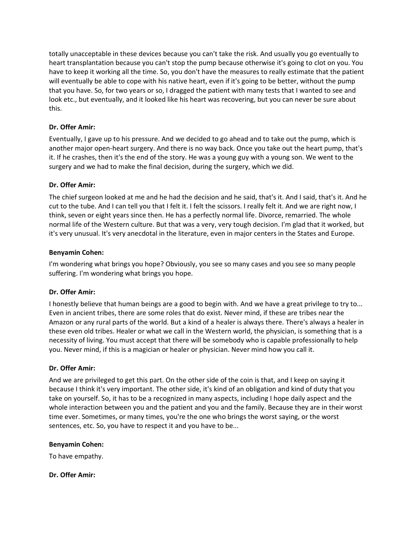totally unacceptable in these devices because you can't take the risk. And usually you go eventually to heart transplantation because you can't stop the pump because otherwise it's going to clot on you. You have to keep it working all the time. So, you don't have the measures to really estimate that the patient will eventually be able to cope with his native heart, even if it's going to be better, without the pump that you have. So, for two years or so, I dragged the patient with many tests that I wanted to see and look etc., but eventually, and it looked like his heart was recovering, but you can never be sure about this.

# **Dr. Offer Amir:**

Eventually, I gave up to his pressure. And we decided to go ahead and to take out the pump, which is another major open-heart surgery. And there is no way back. Once you take out the heart pump, that's it. If he crashes, then it's the end of the story. He was a young guy with a young son. We went to the surgery and we had to make the final decision, during the surgery, which we did.

### **Dr. Offer Amir:**

The chief surgeon looked at me and he had the decision and he said, that's it. And I said, that's it. And he cut to the tube. And I can tell you that I felt it. I felt the scissors. I really felt it. And we are right now, I think, seven or eight years since then. He has a perfectly normal life. Divorce, remarried. The whole normal life of the Western culture. But that was a very, very tough decision. I'm glad that it worked, but it's very unusual. It's very anecdotal in the literature, even in major centers in the States and Europe.

### **Benyamin Cohen:**

I'm wondering what brings you hope? Obviously, you see so many cases and you see so many people suffering. I'm wondering what brings you hope.

### **Dr. Offer Amir:**

I honestly believe that human beings are a good to begin with. And we have a great privilege to try to... Even in ancient tribes, there are some roles that do exist. Never mind, if these are tribes near the Amazon or any rural parts of the world. But a kind of a healer is always there. There's always a healer in these even old tribes. Healer or what we call in the Western world, the physician, is something that is a necessity of living. You must accept that there will be somebody who is capable professionally to help you. Never mind, if this is a magician or healer or physician. Never mind how you call it.

### **Dr. Offer Amir:**

And we are privileged to get this part. On the other side of the coin is that, and I keep on saying it because I think it's very important. The other side, it's kind of an obligation and kind of duty that you take on yourself. So, it has to be a recognized in many aspects, including I hope daily aspect and the whole interaction between you and the patient and you and the family. Because they are in their worst time ever. Sometimes, or many times, you're the one who brings the worst saying, or the worst sentences, etc. So, you have to respect it and you have to be...

### **Benyamin Cohen:**

To have empathy.

### **Dr. Offer Amir:**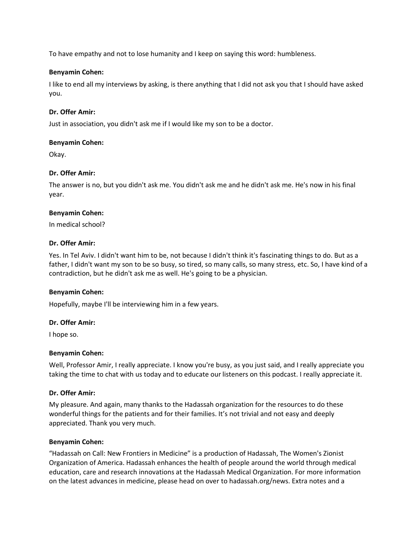To have empathy and not to lose humanity and I keep on saying this word: humbleness.

## **Benyamin Cohen:**

I like to end all my interviews by asking, is there anything that I did not ask you that I should have asked you.

## **Dr. Offer Amir:**

Just in association, you didn't ask me if I would like my son to be a doctor.

### **Benyamin Cohen:**

Okay.

# **Dr. Offer Amir:**

The answer is no, but you didn't ask me. You didn't ask me and he didn't ask me. He's now in his final year.

### **Benyamin Cohen:**

In medical school?

# **Dr. Offer Amir:**

Yes. In Tel Aviv. I didn't want him to be, not because I didn't think it's fascinating things to do. But as a father, I didn't want my son to be so busy, so tired, so many calls, so many stress, etc. So, I have kind of a contradiction, but he didn't ask me as well. He's going to be a physician.

### **Benyamin Cohen:**

Hopefully, maybe I'll be interviewing him in a few years.

# **Dr. Offer Amir:**

I hope so.

### **Benyamin Cohen:**

Well, Professor Amir, I really appreciate. I know you're busy, as you just said, and I really appreciate you taking the time to chat with us today and to educate our listeners on this podcast. I really appreciate it.

# **Dr. Offer Amir:**

My pleasure. And again, many thanks to the Hadassah organization for the resources to do these wonderful things for the patients and for their families. It's not trivial and not easy and deeply appreciated. Thank you very much.

# **Benyamin Cohen:**

"Hadassah on Call: New Frontiers in Medicine" is a production of Hadassah, The Women's Zionist Organization of America. Hadassah enhances the health of people around the world through medical education, care and research innovations at the Hadassah Medical Organization. For more information on the latest advances in medicine, please head on over to hadassah.org/news. Extra notes and a